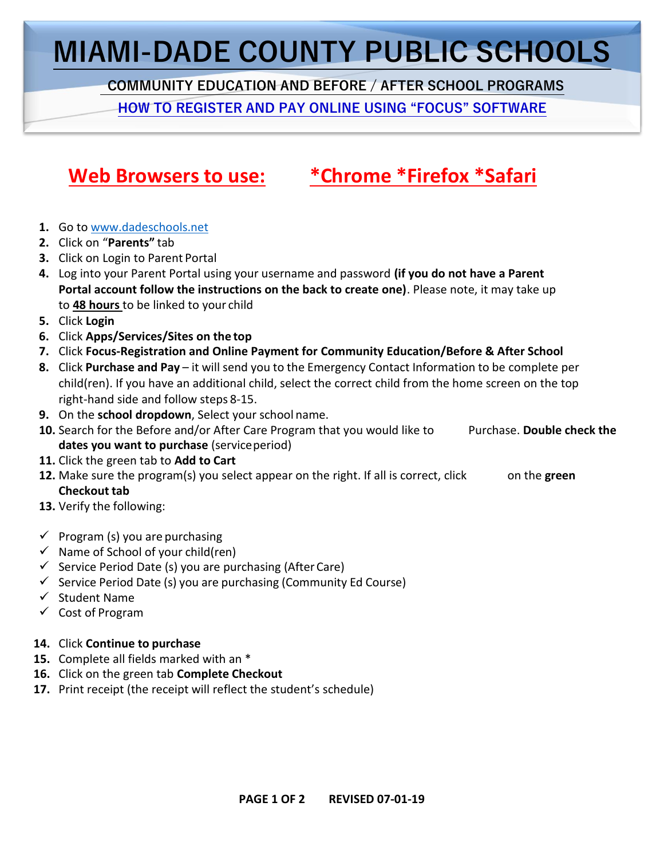## **MIAMI-DADE COUNTY PUBLIC SCHOOLS**

 **COMMUNITY EDUCATION AND BEFORE / AFTER SCHOOL PROGRAMS**

**HOW TO REGISTER AND PAY ONLINE USING "FOCUS" SOFTWARE**

### **Web Browsers to use: \*Chrome \*Firefox \*Safari**

- **1.** Go to [www.dadeschools.net](http://www.dadeschools.net/)
- **2.** Click on "**Parents"** tab
- **3.** Click on Login to Parent Portal
- **4.** Log into your Parent Portal using your username and password **(if you do not have [a](https://creativecommons.org/licenses/by-nd/3.0/) Parent Portal account follow the instructions on the back to create one)**. Please note, it may take up to **48 hours** to be linked to your child
- **5.** Click **Login**
- **6.** Click **Apps/Services/Sites on the top**
- **7.** Click **Focus-Registration and Online Payment for Community Education/Before & After School**
- **8.** Click **Purchase and Pay** it will send you to the Emergency Contact Information to be complete per child(ren). If you have an additional child, select the correct child from the home screen on the top right-hand side and follow steps 8-15.
- **9.** On the **school dropdown**, Select your school name.
- **10.** Search for the Before and/or After Care Program that you would like to Purchase. Double check the **dates you want to purchase** (serviceperiod)
- **11.** Click the green tab to **Add to Cart**
- **12.** Make sure the program(s) you select appear on the right. If all is correct, click on the **green Checkout tab**
- **13.** Verify the following:
- $\checkmark$  Program (s) you are purchasing
- $\checkmark$  Name of School of your child(ren)
- $\checkmark$  Service Period Date (s) you are purchasing (After Care)
- $\checkmark$  Service Period Date (s) you are purchasing (Community Ed Course)
- ✓ Student Name
- ✓ Cost of Program
- **14.** Click **Continue to purchase**
- **15.** Complete all fields marked with an \*
- **16.** Click on the green tab **Complete Checkout**
- **17.** Print receipt (the receipt will reflect the student's schedule)